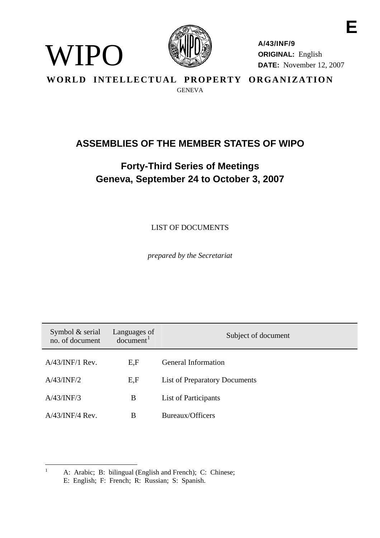

WIPO

**A/43/INF/9 ORIGINAL:** English **DATE:** November 12, 2007

**WORLD INTELLECTUAL PROPERTY ORGANIZATION GENEVA** 

## **ASSEMBLIES OF THE MEMBER STATES OF WIPO**

# **Forty-Third Series of Meetings Geneva, September 24 to October 3, 2007**

LIST OF DOCUMENTS

*prepared by the Secretariat* 

<span id="page-0-1"></span>

| Symbol $&$ serial<br>no. of document | Languages of<br>document <sup>1</sup> | Subject of document                  |
|--------------------------------------|---------------------------------------|--------------------------------------|
| $A/43/INF/1$ Rev.                    | E,F                                   | General Information                  |
| A/43/INF/2                           | E, F                                  | <b>List of Preparatory Documents</b> |
| A/43/INF/3                           | B                                     | List of Participants                 |
| $A/43/INF/4$ Rev.                    | B                                     | Bureaux/Officers                     |

<span id="page-0-0"></span> $\frac{1}{1}$  A: Arabic; B: bilingual (English and French); C: Chinese; E: English; F: French; R: Russian; S: Spanish.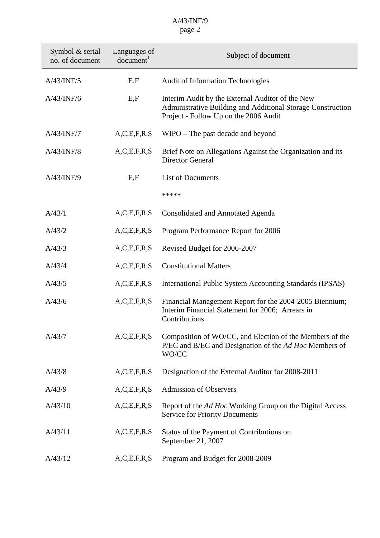| Symbol & serial<br>no. of document | Languages of<br>document <sup>1</sup> | Subject of document                                                                                                                                      |
|------------------------------------|---------------------------------------|----------------------------------------------------------------------------------------------------------------------------------------------------------|
| A/43/INF/5                         | E, F                                  | <b>Audit of Information Technologies</b>                                                                                                                 |
| A/43/INF/6                         | E, F                                  | Interim Audit by the External Auditor of the New<br>Administrative Building and Additional Storage Construction<br>Project - Follow Up on the 2006 Audit |
| A/43/INF/7                         | A, C, E, F, R, S                      | WIPO - The past decade and beyond                                                                                                                        |
| A/43/INF/8                         | A, C, E, F, R, S                      | Brief Note on Allegations Against the Organization and its<br><b>Director General</b>                                                                    |
| A/43/INF/9                         | E.F                                   | <b>List of Documents</b>                                                                                                                                 |
|                                    |                                       | *****                                                                                                                                                    |
| A/43/1                             | A, C, E, F, R, S                      | <b>Consolidated and Annotated Agenda</b>                                                                                                                 |
| A/43/2                             | A, C, E, F, R, S                      | Program Performance Report for 2006                                                                                                                      |
| A/43/3                             | A, C, E, F, R, S                      | Revised Budget for 2006-2007                                                                                                                             |
| A/43/4                             | A, C, E, F, R, S                      | <b>Constitutional Matters</b>                                                                                                                            |
| A/43/5                             | A, C, E, F, R, S                      | International Public System Accounting Standards (IPSAS)                                                                                                 |
| A/43/6                             | A, C, E, F, R, S                      | Financial Management Report for the 2004-2005 Biennium;<br>Interim Financial Statement for 2006; Arrears in<br>Contributions                             |
| A/43/7                             | A, C, E, F, R, S                      | Composition of WO/CC, and Election of the Members of the<br>P/EC and B/EC and Designation of the Ad Hoc Members of<br>WO/CC                              |
| A/43/8                             | A, C, E, F, R, S                      | Designation of the External Auditor for 2008-2011                                                                                                        |
| A/43/9                             | A, C, E, F, R, S                      | <b>Admission of Observers</b>                                                                                                                            |
| A/43/10                            | A, C, E, F, R, S                      | Report of the Ad Hoc Working Group on the Digital Access<br><b>Service for Priority Documents</b>                                                        |
| A/43/11                            | A, C, E, F, R, S                      | Status of the Payment of Contributions on<br>September 21, 2007                                                                                          |
| A/43/12                            | A, C, E, F, R, S                      | Program and Budget for 2008-2009                                                                                                                         |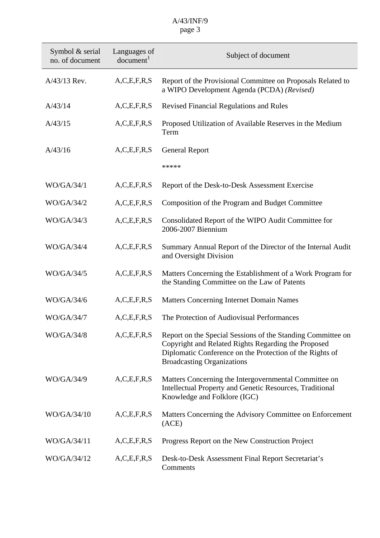| Symbol & serial<br>no. of document | Languages of<br>document <sup>1</sup> | Subject of document                                                                                                                                                                                                 |
|------------------------------------|---------------------------------------|---------------------------------------------------------------------------------------------------------------------------------------------------------------------------------------------------------------------|
| A/43/13 Rev.                       | A, C, E, F, R, S                      | Report of the Provisional Committee on Proposals Related to<br>a WIPO Development Agenda (PCDA) (Revised)                                                                                                           |
| A/43/14                            | A, C, E, F, R, S                      | <b>Revised Financial Regulations and Rules</b>                                                                                                                                                                      |
| A/43/15                            | A, C, E, F, R, S                      | Proposed Utilization of Available Reserves in the Medium<br>Term                                                                                                                                                    |
| A/43/16                            | A, C, E, F, R, S                      | <b>General Report</b>                                                                                                                                                                                               |
|                                    |                                       | *****                                                                                                                                                                                                               |
| WO/GA/34/1                         | A, C, E, F, R, S                      | Report of the Desk-to-Desk Assessment Exercise                                                                                                                                                                      |
| WO/GA/34/2                         | A, C, E, F, R, S                      | Composition of the Program and Budget Committee                                                                                                                                                                     |
| WO/GA/34/3                         | A, C, E, F, R, S                      | Consolidated Report of the WIPO Audit Committee for<br>2006-2007 Biennium                                                                                                                                           |
| <b>WO/GA/34/4</b>                  | A, C, E, F, R, S                      | Summary Annual Report of the Director of the Internal Audit<br>and Oversight Division                                                                                                                               |
| WO/GA/34/5                         | A, C, E, F, R, S                      | Matters Concerning the Establishment of a Work Program for<br>the Standing Committee on the Law of Patents                                                                                                          |
| WO/GA/34/6                         | A, C, E, F, R, S                      | <b>Matters Concerning Internet Domain Names</b>                                                                                                                                                                     |
| WO/GA/34/7                         | A, C, E, F, R, S                      | The Protection of Audiovisual Performances                                                                                                                                                                          |
| WO/GA/34/8                         | A, C, E, F, R, S                      | Report on the Special Sessions of the Standing Committee on<br>Copyright and Related Rights Regarding the Proposed<br>Diplomatic Conference on the Protection of the Rights of<br><b>Broadcasting Organizations</b> |
| WO/GA/34/9                         | A, C, E, F, R, S                      | Matters Concerning the Intergovernmental Committee on<br><b>Intellectual Property and Genetic Resources, Traditional</b><br>Knowledge and Folklore (IGC)                                                            |
| WO/GA/34/10                        | A, C, E, F, R, S                      | Matters Concerning the Advisory Committee on Enforcement<br>(ACE)                                                                                                                                                   |
| WO/GA/34/11                        | A, C, E, F, R, S                      | Progress Report on the New Construction Project                                                                                                                                                                     |
| WO/GA/34/12                        | A, C, E, F, R, S                      | Desk-to-Desk Assessment Final Report Secretariat's<br>Comments                                                                                                                                                      |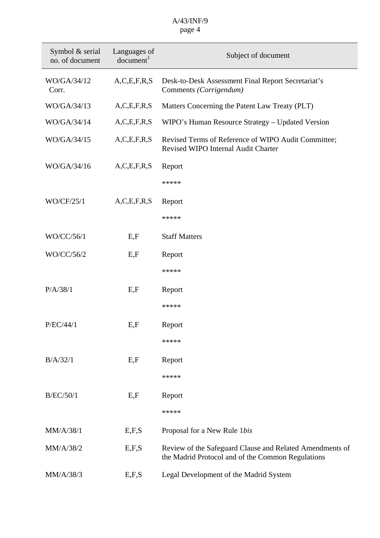| Symbol & serial<br>no. of document | Languages of<br>document <sup>1</sup> | Subject of document                                                                                           |
|------------------------------------|---------------------------------------|---------------------------------------------------------------------------------------------------------------|
| WO/GA/34/12<br>Corr.               | A, C, E, F, R, S                      | Desk-to-Desk Assessment Final Report Secretariat's<br>Comments (Corrigendum)                                  |
| WO/GA/34/13                        | A, C, E, F, R, S                      | Matters Concerning the Patent Law Treaty (PLT)                                                                |
| WO/GA/34/14                        | A, C, E, F, R, S                      | WIPO's Human Resource Strategy – Updated Version                                                              |
| WO/GA/34/15                        | A, C, E, F, R, S                      | Revised Terms of Reference of WIPO Audit Committee;<br>Revised WIPO Internal Audit Charter                    |
| WO/GA/34/16                        | A, C, E, F, R, S                      | Report                                                                                                        |
|                                    |                                       | *****                                                                                                         |
| WO/CF/25/1                         | A, C, E, F, R, S                      | Report                                                                                                        |
|                                    |                                       | *****                                                                                                         |
|                                    |                                       |                                                                                                               |
| WO/CC/56/1                         | E, F                                  | <b>Staff Matters</b>                                                                                          |
| WO/CC/56/2                         | E, F                                  | Report                                                                                                        |
|                                    |                                       | *****                                                                                                         |
| P/A/38/1                           | E, F                                  | Report                                                                                                        |
|                                    |                                       | *****                                                                                                         |
| P/EC/44/1                          | E.F                                   | Report                                                                                                        |
|                                    |                                       | *****                                                                                                         |
|                                    |                                       |                                                                                                               |
| B/A/32/1                           | E, F                                  | Report                                                                                                        |
|                                    |                                       | *****                                                                                                         |
| <b>B/EC/50/1</b>                   | E, F                                  | Report                                                                                                        |
|                                    |                                       | *****                                                                                                         |
| MM/A/38/1                          | E, F, S                               | Proposal for a New Rule 1bis                                                                                  |
| MM/A/38/2                          | E, F, S                               | Review of the Safeguard Clause and Related Amendments of<br>the Madrid Protocol and of the Common Regulations |
| MM/A/38/3                          | E, F, S                               | Legal Development of the Madrid System                                                                        |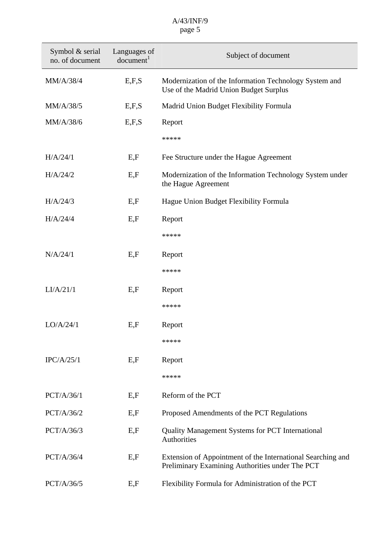| Symbol & serial<br>no. of document | Languages of<br>document <sup>1</sup> | Subject of document                                                                                            |
|------------------------------------|---------------------------------------|----------------------------------------------------------------------------------------------------------------|
| MM/A/38/4                          | E, F, S                               | Modernization of the Information Technology System and<br>Use of the Madrid Union Budget Surplus               |
| MM/A/38/5                          | E, F, S                               | Madrid Union Budget Flexibility Formula                                                                        |
| MM/A/38/6                          | E, F, S                               | Report                                                                                                         |
|                                    |                                       | *****                                                                                                          |
| H/A/24/1                           | E, F                                  | Fee Structure under the Hague Agreement                                                                        |
| H/A/24/2                           | E, F                                  | Modernization of the Information Technology System under<br>the Hague Agreement                                |
| H/A/24/3                           | E, F                                  | Hague Union Budget Flexibility Formula                                                                         |
| H/A/24/4                           | E, F                                  | Report                                                                                                         |
|                                    |                                       | *****                                                                                                          |
| N/A/24/1                           | E, F                                  | Report                                                                                                         |
|                                    |                                       | *****                                                                                                          |
| LI/A/21/1                          | E, F                                  | Report                                                                                                         |
|                                    |                                       | *****                                                                                                          |
| LO/A/24/1                          | E, F                                  | Report                                                                                                         |
|                                    |                                       | *****                                                                                                          |
| IPC/A/25/1                         | E, F                                  | Report                                                                                                         |
|                                    |                                       | *****                                                                                                          |
| PCT/A/36/1                         | E.F                                   | Reform of the PCT                                                                                              |
| PCT/A/36/2                         | E, F                                  | Proposed Amendments of the PCT Regulations                                                                     |
| PCT/A/36/3                         | E, F                                  | <b>Quality Management Systems for PCT International</b><br>Authorities                                         |
| PCT/A/36/4                         | E, F                                  | Extension of Appointment of the International Searching and<br>Preliminary Examining Authorities under The PCT |
| PCT/A/36/5                         | E, F                                  | Flexibility Formula for Administration of the PCT                                                              |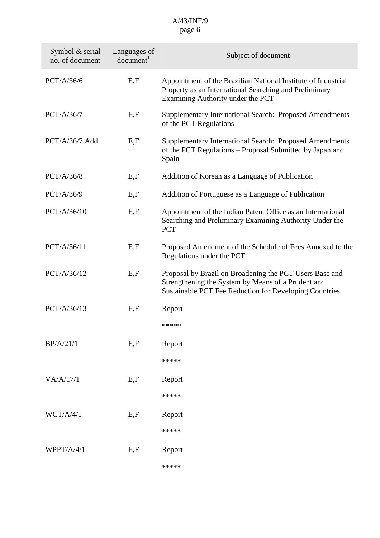| Symbol & serial<br>no. of document | Languages of<br>document <sup>1</sup> | Subject of document                                                                                                                                                     |
|------------------------------------|---------------------------------------|-------------------------------------------------------------------------------------------------------------------------------------------------------------------------|
| PCT/A/36/6                         | E.F                                   | Appointment of the Brazilian National Institute of Industrial<br>Property as an International Searching and Preliminary<br>Examining Authority under the PCT            |
| PCT/A/36/7                         | E, F                                  | Supplementary International Search: Proposed Amendments<br>of the PCT Regulations                                                                                       |
| $PCT/A/36/7$ Add.                  | E, F                                  | Supplementary International Search: Proposed Amendments<br>of the PCT Regulations - Proposal Submitted by Japan and<br>Spain                                            |
| PCT/A/36/8                         | E, F                                  | Addition of Korean as a Language of Publication                                                                                                                         |
| PCT/A/36/9                         | E, F                                  | Addition of Portuguese as a Language of Publication                                                                                                                     |
| PCT/A/36/10                        | E, F                                  | Appointment of the Indian Patent Office as an International<br>Searching and Preliminary Examining Authority Under the<br><b>PCT</b>                                    |
| PCT/A/36/11                        | E, F                                  | Proposed Amendment of the Schedule of Fees Annexed to the<br>Regulations under the PCT                                                                                  |
| PCT/A/36/12                        | E, F                                  | Proposal by Brazil on Broadening the PCT Users Base and<br>Strengthening the System by Means of a Prudent and<br>Sustainable PCT Fee Reduction for Developing Countries |
| PCT/A/36/13                        | E, F                                  | Report                                                                                                                                                                  |
|                                    |                                       | *****                                                                                                                                                                   |
| BP/A/21/1                          | E, F                                  | Report                                                                                                                                                                  |
|                                    |                                       | *****                                                                                                                                                                   |
| VA/A/17/1                          | E, F                                  | Report                                                                                                                                                                  |
|                                    |                                       | *****                                                                                                                                                                   |
| WCT/A/4/1                          | E, F                                  | Report                                                                                                                                                                  |
|                                    |                                       | *****                                                                                                                                                                   |
| WPPT/A/4/1                         | E, F                                  | Report                                                                                                                                                                  |
|                                    |                                       | *****                                                                                                                                                                   |